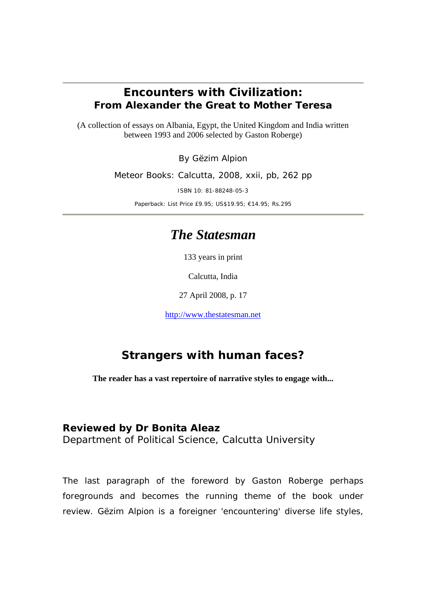## *Encounters with Civilization: From Alexander the Great to Mother Teresa*

(A collection of essays on Albania, Egypt, the United Kingdom and India written between 1993 and 2006 selected by Gaston Roberge)

By Gëzim Alpion

Meteor Books: Calcutta, 2008, xxii, pb, 262 pp

ISBN 10: 81-88248-05-3

Paperback: List Price £9.95; US\$19.95; €14.95; Rs.295

## *The Statesman*

133 years in print

Calcutta, India

27 April 2008, p. 17

http://www.thestatesman.net

## **Strangers with human faces?**

**The reader has a vast repertoire of narrative styles to engage with...** 

## **Reviewed by Dr Bonita Aleaz**

Department of Political Science, Calcutta University

The last paragraph of the foreword by Gaston Roberge perhaps foregrounds and becomes the running theme of the book under review. Gëzim Alpion is a foreigner 'encountering' diverse life styles,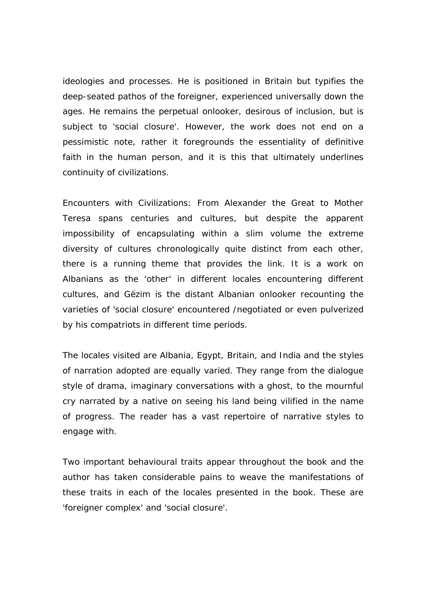ideologies and processes. He is positioned in Britain but typifies the deep-seated pathos of the foreigner, experienced universally down the ages. He remains the perpetual onlooker, desirous of inclusion, but is subject to 'social closure'. However, the work does not end on a pessimistic note, rather it foregrounds the essentiality of definitive faith in the human person, and it is this that ultimately underlines continuity of civilizations.

*Encounters with Civilizations: From Alexander the Great to Mother Teresa* spans centuries and cultures, but despite the apparent impossibility of encapsulating within a slim volume the extreme diversity of cultures chronologically quite distinct from each other, there is a running theme that provides the link. It is a work on Albanians as the 'other' in different locales encountering different cultures, and Gëzim is the distant Albanian onlooker recounting the varieties of 'social closure' encountered /negotiated or even pulverized by his compatriots in different time periods.

The locales visited are Albania, Egypt, Britain, and India and the styles of narration adopted are equally varied. They range from the dialogue style of drama, imaginary conversations with a ghost, to the mournful cry narrated by a native on seeing his land being vilified in the name of progress. The reader has a vast repertoire of narrative styles to engage with.

Two important behavioural traits appear throughout the book and the author has taken considerable pains to weave the manifestations of these traits in each of the locales presented in the book. These are 'foreigner complex' and 'social closure'.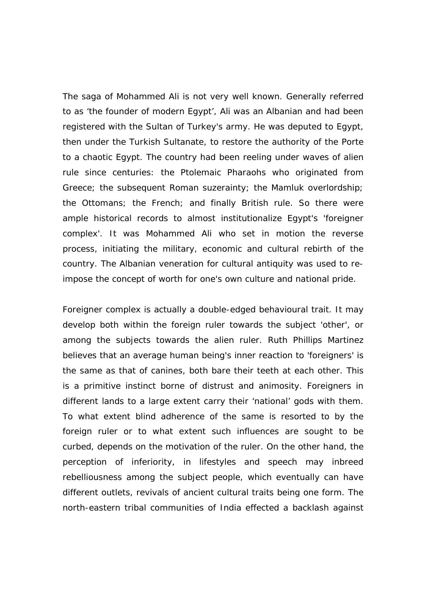The saga of Mohammed Ali is not very well known. Generally referred to as 'the founder of modern Egypt', Ali was an Albanian and had been registered with the Sultan of Turkey's army. He was deputed to Egypt, then under the Turkish Sultanate, to restore the authority of the Porte to a chaotic Egypt. The country had been reeling under waves of alien rule since centuries: the Ptolemaic Pharaohs who originated from Greece; the subsequent Roman suzerainty; the Mamluk overlordship; the Ottomans; the French; and finally British rule. So there were ample historical records to almost institutionalize Egypt's 'foreigner complex'. It was Mohammed Ali who set in motion the reverse process, initiating the military, economic and cultural rebirth of the country. The Albanian veneration for cultural antiquity was used to reimpose the concept of worth for one's own culture and national pride.

Foreigner complex is actually a double-edged behavioural trait. It may develop both within the foreign ruler towards the subject 'other', or among the subjects towards the alien ruler. Ruth Phillips Martinez believes that an average human being's inner reaction to 'foreigners' is the same as that of canines, both bare their teeth at each other. This is a primitive instinct borne of distrust and animosity. Foreigners in different lands to a large extent carry their 'national' gods with them. To what extent blind adherence of the same is resorted to by the foreign ruler or to what extent such influences are sought to be curbed, depends on the motivation of the ruler. On the other hand, the perception of inferiority, in lifestyles and speech may inbreed rebelliousness among the subject people, which eventually can have different outlets, revivals of ancient cultural traits being one form. The north-eastern tribal communities of India effected a backlash against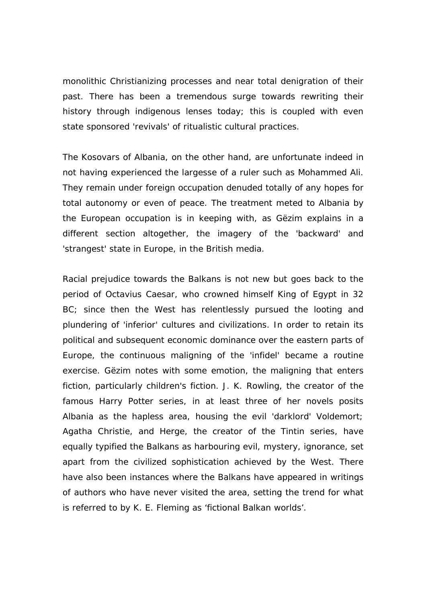monolithic Christianizing processes and near total denigration of their past. There has been a tremendous surge towards rewriting their history through indigenous lenses today; this is coupled with even state sponsored 'revivals' of ritualistic cultural practices.

The Kosovars of Albania, on the other hand, are unfortunate indeed in not having experienced the largesse of a ruler such as Mohammed Ali. They remain under foreign occupation denuded totally of any hopes for total autonomy or even of peace. The treatment meted to Albania by the European occupation is in keeping with, as Gëzim explains in a different section altogether, the imagery of the 'backward' and 'strangest' state in Europe, in the British media.

Racial prejudice towards the Balkans is not new but goes back to the period of Octavius Caesar, who crowned himself King of Egypt in 32 BC; since then the West has relentlessly pursued the looting and plundering of 'inferior' cultures and civilizations. In order to retain its political and subsequent economic dominance over the eastern parts of Europe, the continuous maligning of the 'infidel' became a routine exercise. Gëzim notes with some emotion, the maligning that enters fiction, particularly children's fiction. J. K. Rowling, the creator of the famous Harry Potter series, in at least three of her novels posits Albania as the hapless area, housing the evil 'darklord' Voldemort; Agatha Christie, and Herge, the creator of the Tintin series, have equally typified the Balkans as harbouring evil, mystery, ignorance, set apart from the civilized sophistication achieved by the West. There have also been instances where the Balkans have appeared in writings of authors who have never visited the area, setting the trend for what is referred to by K. E. Fleming as 'fictional Balkan worlds'.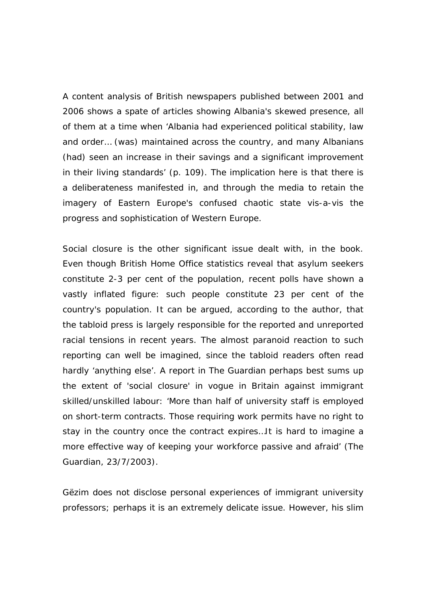A content analysis of British newspapers published between 2001 and 2006 shows a spate of articles showing Albania's skewed presence, all of them at a time when 'Albania had experienced political stability, law and order… (was) maintained across the country, and many Albanians (had) seen an increase in their savings and a significant improvement in their living standards' (p. 109). The implication here is that there is a deliberateness manifested in, and through the media to retain the imagery of Eastern Europe's confused chaotic state vis-a-vis the progress and sophistication of Western Europe.

Social closure is the other significant issue dealt with, in the book. Even though British Home Office statistics reveal that asylum seekers constitute 2-3 per cent of the population, recent polls have shown a vastly inflated figure: such people constitute 23 per cent of the country's population. It can be argued, according to the author, that the tabloid press is largely responsible for the reported and unreported racial tensions in recent years. The almost paranoid reaction to such reporting can well be imagined, since the tabloid readers often read hardly 'anything else'. A report in *The Guardian* perhaps best sums up the extent of 'social closure' in vogue in Britain against immigrant skilled/unskilled labour: 'More than half of university staff is employed on short-term contracts. Those requiring work permits have no right to stay in the country once the contract expires…It is hard to imagine a more effective way of keeping your workforce passive and afraid' (*The Guardian*, 23/7/2003).

Gëzim does not disclose personal experiences of immigrant university professors; perhaps it is an extremely delicate issue. However, his slim